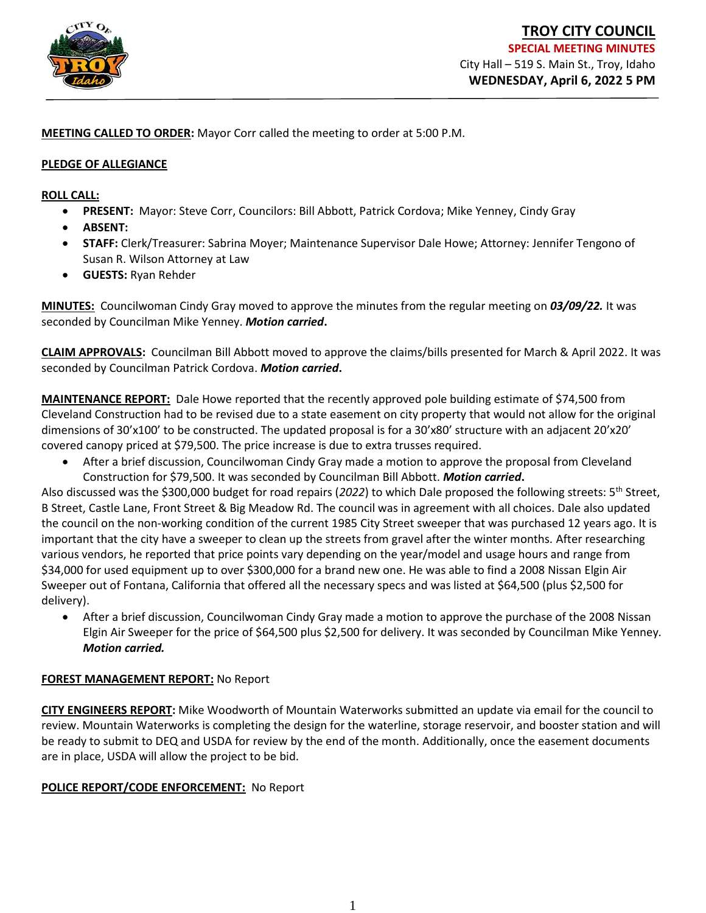

**MEETING CALLED TO ORDER:** Mayor Corr called the meeting to order at 5:00 P.M.

#### **PLEDGE OF ALLEGIANCE**

**ROLL CALL:** 

- **PRESENT:** Mayor: Steve Corr, Councilors: Bill Abbott, Patrick Cordova; Mike Yenney, Cindy Gray
- **ABSENT:**
- **STAFF:** Clerk/Treasurer: Sabrina Moyer; Maintenance Supervisor Dale Howe; Attorney: Jennifer Tengono of Susan R. Wilson Attorney at Law
- **GUESTS:** Ryan Rehder

**MINUTES:** Councilwoman Cindy Gray moved to approve the minutes from the regular meeting on *03/09/22.* It was seconded by Councilman Mike Yenney. *Motion carried***.**

**CLAIM APPROVALS:** Councilman Bill Abbott moved to approve the claims/bills presented for March & April 2022. It was seconded by Councilman Patrick Cordova. *Motion carried***.**

**MAINTENANCE REPORT:** Dale Howe reported that the recently approved pole building estimate of \$74,500 from Cleveland Construction had to be revised due to a state easement on city property that would not allow for the original dimensions of 30'x100' to be constructed. The updated proposal is for a 30'x80' structure with an adjacent 20'x20' covered canopy priced at \$79,500. The price increase is due to extra trusses required.

• After a brief discussion, Councilwoman Cindy Gray made a motion to approve the proposal from Cleveland Construction for \$79,500. It was seconded by Councilman Bill Abbott. *Motion carried***.** 

Also discussed was the \$300,000 budget for road repairs (*2022*) to which Dale proposed the following streets: 5th Street, B Street, Castle Lane, Front Street & Big Meadow Rd. The council was in agreement with all choices. Dale also updated the council on the non-working condition of the current 1985 City Street sweeper that was purchased 12 years ago. It is important that the city have a sweeper to clean up the streets from gravel after the winter months. After researching various vendors, he reported that price points vary depending on the year/model and usage hours and range from \$34,000 for used equipment up to over \$300,000 for a brand new one. He was able to find a 2008 Nissan Elgin Air Sweeper out of Fontana, California that offered all the necessary specs and was listed at \$64,500 (plus \$2,500 for delivery).

• After a brief discussion, Councilwoman Cindy Gray made a motion to approve the purchase of the 2008 Nissan Elgin Air Sweeper for the price of \$64,500 plus \$2,500 for delivery. It was seconded by Councilman Mike Yenney*. Motion carried.*

## **FOREST MANAGEMENT REPORT:** No Report

**CITY ENGINEERS REPORT:** Mike Woodworth of Mountain Waterworks submitted an update via email for the council to review. Mountain Waterworks is completing the design for the waterline, storage reservoir, and booster station and will be ready to submit to DEQ and USDA for review by the end of the month. Additionally, once the easement documents are in place, USDA will allow the project to be bid.

## **POLICE REPORT/CODE ENFORCEMENT:** No Report